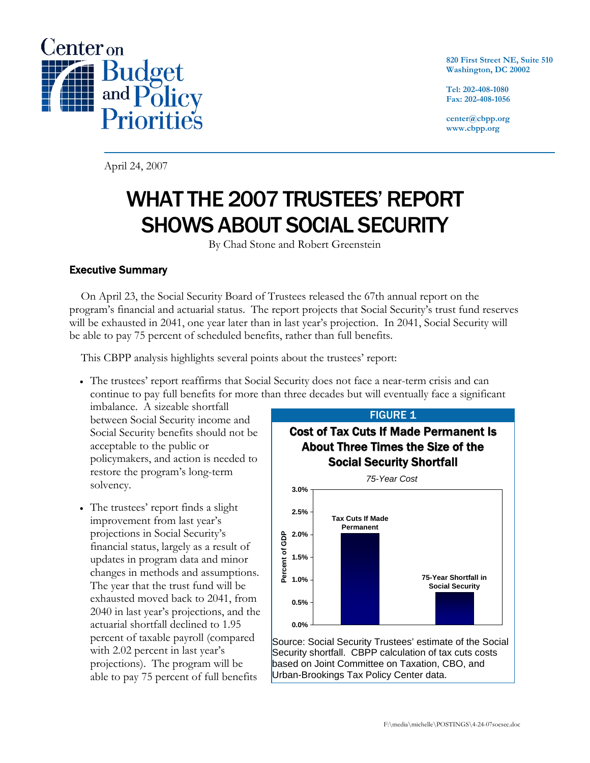

**820 First Street NE, Suite 510 Washington, DC 20002** 

**Tel: 202-408-1080 Fax: 202-408-1056** 

**center@cbpp.org www.cbpp.org** 

April 24, 2007

# WHAT THE 2007 TRUSTEES' REPORT SHOWS ABOUT SOCIAL SECURITY

By Chad Stone and Robert Greenstein

# Executive Summary

On April 23, the Social Security Board of Trustees released the 67th annual report on the program's financial and actuarial status. The report projects that Social Security's trust fund reserves will be exhausted in 2041, one year later than in last year's projection. In 2041, Social Security will be able to pay 75 percent of scheduled benefits, rather than full benefits.

This CBPP analysis highlights several points about the trustees' report:

• The trustees' report reaffirms that Social Security does not face a near-term crisis and can continue to pay full benefits for more than three decades but will eventually face a significant

imbalance. A sizeable shortfall between Social Security income and Social Security benefits should not be acceptable to the public or policymakers, and action is needed to restore the program's long-term solvency.

• The trustees' report finds a slight improvement from last year's projections in Social Security's financial status, largely as a result of updates in program data and minor changes in methods and assumptions. The year that the trust fund will be exhausted moved back to 2041, from 2040 in last year's projections, and the actuarial shortfall declined to 1.95 percent of taxable payroll (compared with 2.02 percent in last year's projections). The program will be able to pay 75 percent of full benefits



Source: Social Security Trustees' estimate of the Social Security shortfall. CBPP calculation of tax cuts costs based on Joint Committee on Taxation, CBO, and Urban-Brookings Tax Policy Center data.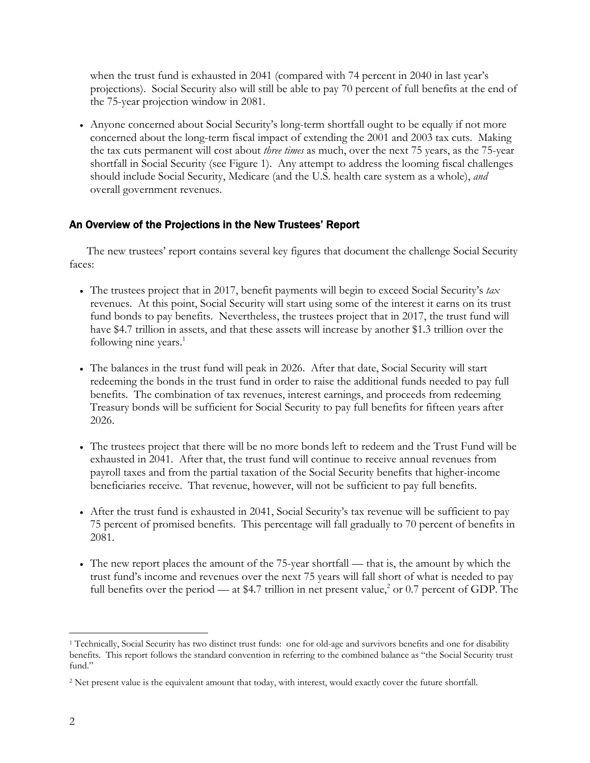when the trust fund is exhausted in 2041 (compared with 74 percent in 2040 in last year's projections). Social Security also will still be able to pay 70 percent of full benefits at the end of the 75-year projection window in 2081.

• Anyone concerned about Social Security's long-term shortfall ought to be equally if not more concerned about the long-term fiscal impact of extending the 2001 and 2003 tax cuts. Making the tax cuts permanent will cost about *three times* as much, over the next 75 years, as the 75-year shortfall in Social Security (see Figure 1). Any attempt to address the looming fiscal challenges should include Social Security, Medicare (and the U.S. health care system as a whole), *and* overall government revenues.

# An Overview of the Projections in the New Trustees' Report

The new trustees' report contains several key figures that document the challenge Social Security faces:

- The trustees project that in 2017, benefit payments will begin to exceed Social Security's *tax* revenues. At this point, Social Security will start using some of the interest it earns on its trust fund bonds to pay benefits. Nevertheless, the trustees project that in 2017, the trust fund will have \$4.7 trillion in assets, and that these assets will increase by another \$1.3 trillion over the following nine years. $<sup>1</sup>$ </sup>
- The balances in the trust fund will peak in 2026. After that date, Social Security will start redeeming the bonds in the trust fund in order to raise the additional funds needed to pay full benefits. The combination of tax revenues, interest earnings, and proceeds from redeeming Treasury bonds will be sufficient for Social Security to pay full benefits for fifteen years after 2026.
- The trustees project that there will be no more bonds left to redeem and the Trust Fund will be exhausted in 2041. After that, the trust fund will continue to receive annual revenues from payroll taxes and from the partial taxation of the Social Security benefits that higher-income beneficiaries receive. That revenue, however, will not be sufficient to pay full benefits.
- After the trust fund is exhausted in 2041, Social Security's tax revenue will be sufficient to pay 75 percent of promised benefits. This percentage will fall gradually to 70 percent of benefits in 2081.
- The new report places the amount of the 75-year shortfall that is, the amount by which the trust fund's income and revenues over the next 75 years will fall short of what is needed to pay full benefits over the period — at \$4.7 trillion in net present value,<sup>2</sup> or 0.7 percent of GDP. The

<sup>-</sup><sup>1</sup> Technically, Social Security has two distinct trust funds: one for old-age and survivors benefits and one for disability benefits. This report follows the standard convention in referring to the combined balance as "the Social Security trust fund."

<sup>&</sup>lt;sup>2</sup> Net present value is the equivalent amount that today, with interest, would exactly cover the future shortfall.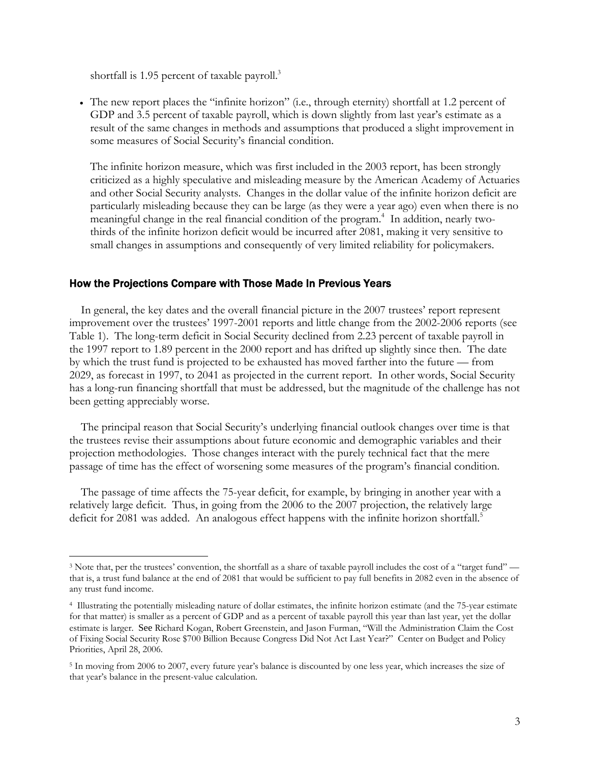shortfall is 1.95 percent of taxable payroll.<sup>3</sup>

-

• The new report places the "infinite horizon" (i.e., through eternity) shortfall at 1.2 percent of GDP and 3.5 percent of taxable payroll, which is down slightly from last year's estimate as a result of the same changes in methods and assumptions that produced a slight improvement in some measures of Social Security's financial condition.

The infinite horizon measure, which was first included in the 2003 report, has been strongly criticized as a highly speculative and misleading measure by the American Academy of Actuaries and other Social Security analysts. Changes in the dollar value of the infinite horizon deficit are particularly misleading because they can be large (as they were a year ago) even when there is no meaningful change in the real financial condition of the program.<sup>4</sup> In addition, nearly twothirds of the infinite horizon deficit would be incurred after 2081, making it very sensitive to small changes in assumptions and consequently of very limited reliability for policymakers.

#### How the Projections Compare with Those Made In Previous Years

In general, the key dates and the overall financial picture in the 2007 trustees' report represent improvement over the trustees' 1997-2001 reports and little change from the 2002-2006 reports (see Table 1). The long-term deficit in Social Security declined from 2.23 percent of taxable payroll in the 1997 report to 1.89 percent in the 2000 report and has drifted up slightly since then. The date by which the trust fund is projected to be exhausted has moved farther into the future — from 2029, as forecast in 1997, to 2041 as projected in the current report. In other words, Social Security has a long-run financing shortfall that must be addressed, but the magnitude of the challenge has not been getting appreciably worse.

The principal reason that Social Security's underlying financial outlook changes over time is that the trustees revise their assumptions about future economic and demographic variables and their projection methodologies. Those changes interact with the purely technical fact that the mere passage of time has the effect of worsening some measures of the program's financial condition.

The passage of time affects the 75-year deficit, for example, by bringing in another year with a relatively large deficit. Thus, in going from the 2006 to the 2007 projection, the relatively large deficit for 2081 was added. An analogous effect happens with the infinite horizon shortfall.<sup>5</sup>

<sup>&</sup>lt;sup>3</sup> Note that, per the trustees' convention, the shortfall as a share of taxable payroll includes the cost of a "target fund" that is, a trust fund balance at the end of 2081 that would be sufficient to pay full benefits in 2082 even in the absence of any trust fund income.

<sup>4</sup> Illustrating the potentially misleading nature of dollar estimates, the infinite horizon estimate (and the 75-year estimate for that matter) is smaller as a percent of GDP and as a percent of taxable payroll this year than last year, yet the dollar estimate is larger. See Richard Kogan, Robert Greenstein, and Jason Furman, "Will the Administration Claim the Cost of Fixing Social Security Rose \$700 Billion Because Congress Did Not Act Last Year?" Center on Budget and Policy Priorities, April 28, 2006.

<sup>&</sup>lt;sup>5</sup> In moving from 2006 to 2007, every future year's balance is discounted by one less year, which increases the size of that year's balance in the present-value calculation.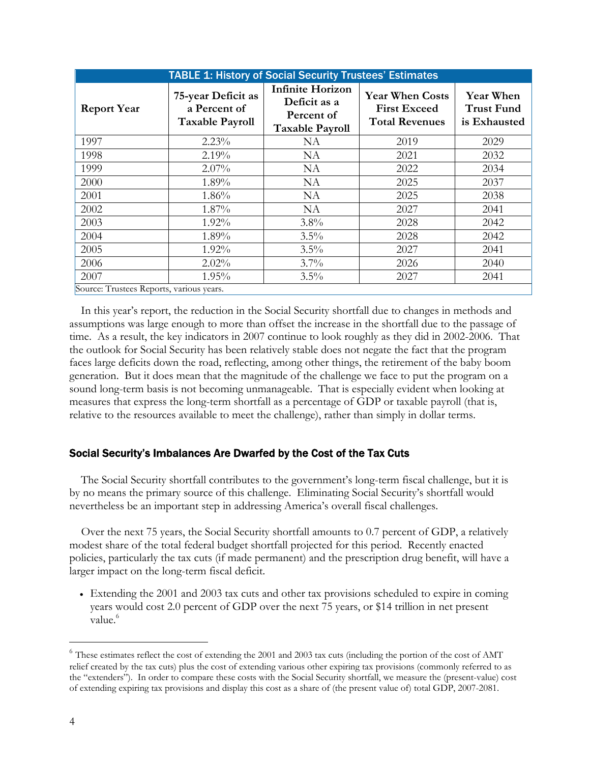| <b>TABLE 1: History of Social Security Trustees' Estimates</b> |                                                              |                                                                                 |                                                                        |                                                       |  |
|----------------------------------------------------------------|--------------------------------------------------------------|---------------------------------------------------------------------------------|------------------------------------------------------------------------|-------------------------------------------------------|--|
| <b>Report Year</b>                                             | 75-year Deficit as<br>a Percent of<br><b>Taxable Payroll</b> | <b>Infinite Horizon</b><br>Deficit as a<br>Percent of<br><b>Taxable Payroll</b> | <b>Year When Costs</b><br><b>First Exceed</b><br><b>Total Revenues</b> | <b>Year When</b><br><b>Trust Fund</b><br>is Exhausted |  |
| 1997                                                           | $2.23\%$                                                     | NA                                                                              | 2019                                                                   | 2029                                                  |  |
| 1998                                                           | 2.19%                                                        | <b>NA</b>                                                                       | 2021                                                                   | 2032                                                  |  |
| 1999                                                           | $2.07\%$                                                     | NA                                                                              | 2022                                                                   | 2034                                                  |  |
| 2000                                                           | 1.89%                                                        | NA                                                                              | 2025                                                                   | 2037                                                  |  |
| 2001                                                           | 1.86%                                                        | <b>NA</b>                                                                       | 2025                                                                   | 2038                                                  |  |
| 2002                                                           | 1.87%                                                        | <b>NA</b>                                                                       | 2027                                                                   | 2041                                                  |  |
| 2003                                                           | 1.92%                                                        | 3.8%                                                                            | 2028                                                                   | 2042                                                  |  |
| 2004                                                           | 1.89%                                                        | 3.5%                                                                            | 2028                                                                   | 2042                                                  |  |
| 2005                                                           | $1.92\%$                                                     | $3.5\%$                                                                         | 2027                                                                   | 2041                                                  |  |
| 2006                                                           | $2.02\%$                                                     | $3.7\%$                                                                         | 2026                                                                   | 2040                                                  |  |
| 2007                                                           | 1.95%                                                        | 3.5%                                                                            | 2027                                                                   | 2041                                                  |  |
| Source: Trustees Reports, various years.                       |                                                              |                                                                                 |                                                                        |                                                       |  |

In this year's report, the reduction in the Social Security shortfall due to changes in methods and assumptions was large enough to more than offset the increase in the shortfall due to the passage of time. As a result, the key indicators in 2007 continue to look roughly as they did in 2002-2006. That the outlook for Social Security has been relatively stable does not negate the fact that the program faces large deficits down the road, reflecting, among other things, the retirement of the baby boom generation. But it does mean that the magnitude of the challenge we face to put the program on a sound long-term basis is not becoming unmanageable. That is especially evident when looking at measures that express the long-term shortfall as a percentage of GDP or taxable payroll (that is, relative to the resources available to meet the challenge), rather than simply in dollar terms.

## Social Security's Imbalances Are Dwarfed by the Cost of the Tax Cuts

The Social Security shortfall contributes to the government's long-term fiscal challenge, but it is by no means the primary source of this challenge. Eliminating Social Security's shortfall would nevertheless be an important step in addressing America's overall fiscal challenges.

Over the next 75 years, the Social Security shortfall amounts to 0.7 percent of GDP, a relatively modest share of the total federal budget shortfall projected for this period. Recently enacted policies, particularly the tax cuts (if made permanent) and the prescription drug benefit, will have a larger impact on the long-term fiscal deficit.

• Extending the 2001 and 2003 tax cuts and other tax provisions scheduled to expire in coming years would cost 2.0 percent of GDP over the next 75 years, or \$14 trillion in net present value.<sup>6</sup>

-

 $^6$  These estimates reflect the cost of extending the 2001 and 2003 tax cuts (including the portion of the cost of AMT relief created by the tax cuts) plus the cost of extending various other expiring tax provisions (commonly referred to as the "extenders"). In order to compare these costs with the Social Security shortfall, we measure the (present-value) cost of extending expiring tax provisions and display this cost as a share of (the present value of) total GDP, 2007-2081.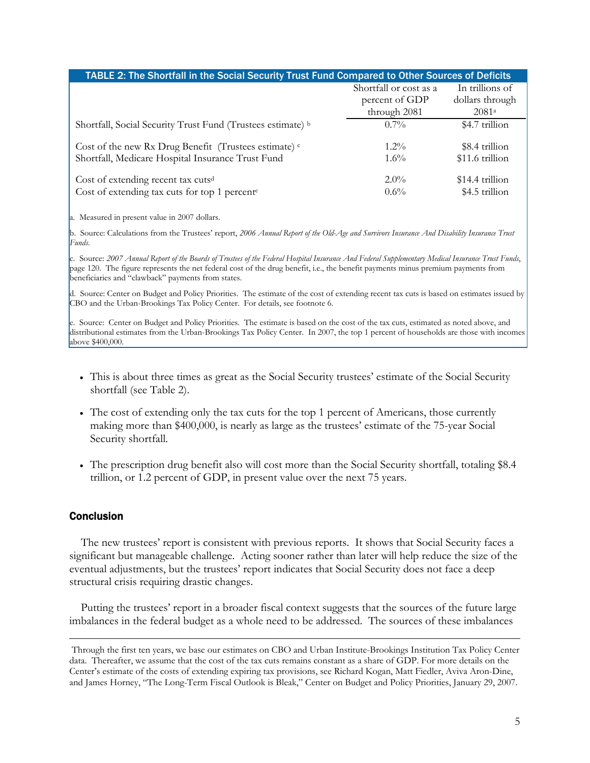| TABLE 2: The Shortfall in the Social Security Trust Fund Compared to Other Sources of Deficits |                        |                 |  |  |  |
|------------------------------------------------------------------------------------------------|------------------------|-----------------|--|--|--|
|                                                                                                | Shortfall or cost as a | In trillions of |  |  |  |
|                                                                                                | percent of GDP         | dollars through |  |  |  |
|                                                                                                | through 2081           | 2081a           |  |  |  |
| Shortfall, Social Security Trust Fund (Trustees estimate) b                                    | $0.7\%$                | \$4.7 trillion  |  |  |  |
| Cost of the new Rx Drug Benefit (Trustees estimate) <sup>c</sup>                               | $1.2\%$                | \$8.4 trillion  |  |  |  |
| Shortfall, Medicare Hospital Insurance Trust Fund                                              | $1.6\%$                | \$11.6 trillion |  |  |  |
| Cost of extending recent tax cutsd                                                             | $2.0\%$                | \$14.4 trillion |  |  |  |
| Cost of extending tax cuts for top 1 percent <sup>e</sup>                                      | $0.6\%$                | \$4.5 trillion  |  |  |  |

a. Measured in present value in 2007 dollars.

b. Source: Calculations from the Trustees' report, *2006 Annual Report of the Old-Age and Survivors Insurance And Disability Insurance Trust Funds*.

c. Source: *2007 Annual Report of the Boards of Trustees of the Federal Hospital Insurance And Federal Supplementary Medical Insurance Trust Funds*, page 120. The figure represents the net federal cost of the drug benefit, i.e., the benefit payments minus premium payments from beneficiaries and "clawback" payments from states.

d. Source: Center on Budget and Policy Priorities. The estimate of the cost of extending recent tax cuts is based on estimates issued by CBO and the Urban-Brookings Tax Policy Center. For details, see footnote 6.

e. Source: Center on Budget and Policy Priorities. The estimate is based on the cost of the tax cuts, estimated as noted above, and distributional estimates from the Urban-Brookings Tax Policy Center. In 2007, the top 1 percent of households are those with incomes above \$400,000.

- This is about three times as great as the Social Security trustees' estimate of the Social Security shortfall (see Table 2).
- The cost of extending only the tax cuts for the top 1 percent of Americans, those currently making more than \$400,000, is nearly as large as the trustees' estimate of the 75-year Social Security shortfall.
- The prescription drug benefit also will cost more than the Social Security shortfall, totaling \$8.4 trillion, or 1.2 percent of GDP, in present value over the next 75 years.

## **Conclusion**

The new trustees' report is consistent with previous reports. It shows that Social Security faces a significant but manageable challenge. Acting sooner rather than later will help reduce the size of the eventual adjustments, but the trustees' report indicates that Social Security does not face a deep structural crisis requiring drastic changes.

Putting the trustees' report in a broader fiscal context suggests that the sources of the future large imbalances in the federal budget as a whole need to be addressed. The sources of these imbalances

Through the first ten years, we base our estimates on CBO and Urban Institute-Brookings Institution Tax Policy Center data. Thereafter, we assume that the cost of the tax cuts remains constant as a share of GDP. For more details on the Center's estimate of the costs of extending expiring tax provisions, see Richard Kogan, Matt Fiedler, Aviva Aron-Dine, and James Horney, "The Long-Term Fiscal Outlook is Bleak," Center on Budget and Policy Priorities, January 29, 2007.